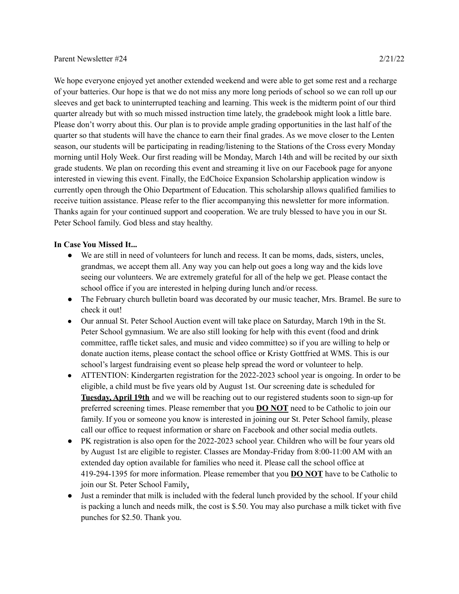We hope everyone enjoyed yet another extended weekend and were able to get some rest and a recharge of your batteries. Our hope is that we do not miss any more long periods of school so we can roll up our sleeves and get back to uninterrupted teaching and learning. This week is the midterm point of our third quarter already but with so much missed instruction time lately, the gradebook might look a little bare. Please don't worry about this. Our plan is to provide ample grading opportunities in the last half of the quarter so that students will have the chance to earn their final grades. As we move closer to the Lenten season, our students will be participating in reading/listening to the Stations of the Cross every Monday morning until Holy Week. Our first reading will be Monday, March 14th and will be recited by our sixth grade students. We plan on recording this event and streaming it live on our Facebook page for anyone interested in viewing this event. Finally, the EdChoice Expansion Scholarship application window is currently open through the Ohio Department of Education. This scholarship allows qualified families to receive tuition assistance. Please refer to the flier accompanying this newsletter for more information. Thanks again for your continued support and cooperation. We are truly blessed to have you in our St. Peter School family. God bless and stay healthy.

## **In Case You Missed It...**

- We are still in need of volunteers for lunch and recess. It can be moms, dads, sisters, uncles, grandmas, we accept them all. Any way you can help out goes a long way and the kids love seeing our volunteers. We are extremely grateful for all of the help we get. Please contact the school office if you are interested in helping during lunch and/or recess.
- The February church bulletin board was decorated by our music teacher, Mrs. Bramel. Be sure to check it out!
- Our annual St. Peter School Auction event will take place on Saturday, March 19th in the St. Peter School gymnasium. We are also still looking for help with this event (food and drink committee, raffle ticket sales, and music and video committee) so if you are willing to help or donate auction items, please contact the school office or Kristy Gottfried at WMS. This is our school's largest fundraising event so please help spread the word or volunteer to help.
- ATTENTION: Kindergarten registration for the 2022-2023 school year is ongoing. In order to be eligible, a child must be five years old by August 1st. Our screening date is scheduled for **Tuesday, April 19th** and we will be reaching out to our registered students soon to sign-up for preferred screening times. Please remember that you **DO NOT** need to be Catholic to join our family. If you or someone you know is interested in joining our St. Peter School family, please call our office to request information or share on Facebook and other social media outlets.
- PK registration is also open for the 2022-2023 school year. Children who will be four years old by August 1st are eligible to register. Classes are Monday-Friday from 8:00-11:00 AM with an extended day option available for families who need it. Please call the school office at 419-294-1395 for more information. Please remember that you **DO NOT** have to be Catholic to join our St. Peter School Family.
- Just a reminder that milk is included with the federal lunch provided by the school. If your child is packing a lunch and needs milk, the cost is \$.50. You may also purchase a milk ticket with five punches for \$2.50. Thank you.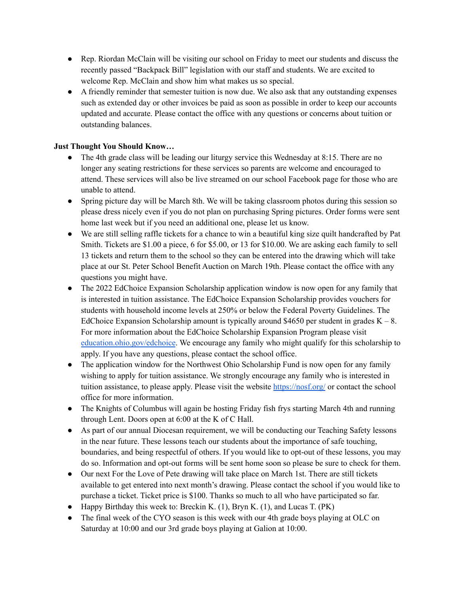- Rep. Riordan McClain will be visiting our school on Friday to meet our students and discuss the recently passed "Backpack Bill" legislation with our staff and students. We are excited to welcome Rep. McClain and show him what makes us so special.
- A friendly reminder that semester tuition is now due. We also ask that any outstanding expenses such as extended day or other invoices be paid as soon as possible in order to keep our accounts updated and accurate. Please contact the office with any questions or concerns about tuition or outstanding balances.

## **Just Thought You Should Know…**

- The 4th grade class will be leading our liturgy service this Wednesday at 8:15. There are no longer any seating restrictions for these services so parents are welcome and encouraged to attend. These services will also be live streamed on our school Facebook page for those who are unable to attend.
- Spring picture day will be March 8th. We will be taking classroom photos during this session so please dress nicely even if you do not plan on purchasing Spring pictures. Order forms were sent home last week but if you need an additional one, please let us know.
- We are still selling raffle tickets for a chance to win a beautiful king size quilt handcrafted by Pat Smith. Tickets are \$1.00 a piece, 6 for \$5.00, or 13 for \$10.00. We are asking each family to sell 13 tickets and return them to the school so they can be entered into the drawing which will take place at our St. Peter School Benefit Auction on March 19th. Please contact the office with any questions you might have.
- The 2022 EdChoice Expansion Scholarship application window is now open for any family that is interested in tuition assistance. The EdChoice Expansion Scholarship provides vouchers for students with household income levels at 250% or below the Federal Poverty Guidelines. The EdChoice Expansion Scholarship amount is typically around \$4650 per student in grades  $K - 8$ . For more information about the EdChoice Scholarship Expansion Program please visit [education.ohio.gov/edchoice](http://education.ohio.gov/Topics/Other-Resources/Scholarships/EdChoice-Scholarship-Program). We encourage any family who might qualify for this scholarship to apply. If you have any questions, please contact the school office.
- The application window for the Northwest Ohio Scholarship Fund is now open for any family wishing to apply for tuition assistance. We strongly encourage any family who is interested in tuition assistance, to please apply. Please visit the website <https://nosf.org/> or contact the school office for more information.
- The Knights of Columbus will again be hosting Friday fish frys starting March 4th and running through Lent. Doors open at 6:00 at the K of C Hall.
- As part of our annual Diocesan requirement, we will be conducting our Teaching Safety lessons in the near future. These lessons teach our students about the importance of safe touching, boundaries, and being respectful of others. If you would like to opt-out of these lessons, you may do so. Information and opt-out forms will be sent home soon so please be sure to check for them.
- Our next For the Love of Pete drawing will take place on March 1st. There are still tickets available to get entered into next month's drawing. Please contact the school if you would like to purchase a ticket. Ticket price is \$100. Thanks so much to all who have participated so far.
- Happy Birthday this week to: Breckin K.  $(1)$ , Bryn K.  $(1)$ , and Lucas T.  $(PK)$
- The final week of the CYO season is this week with our 4th grade boys playing at OLC on Saturday at 10:00 and our 3rd grade boys playing at Galion at 10:00.